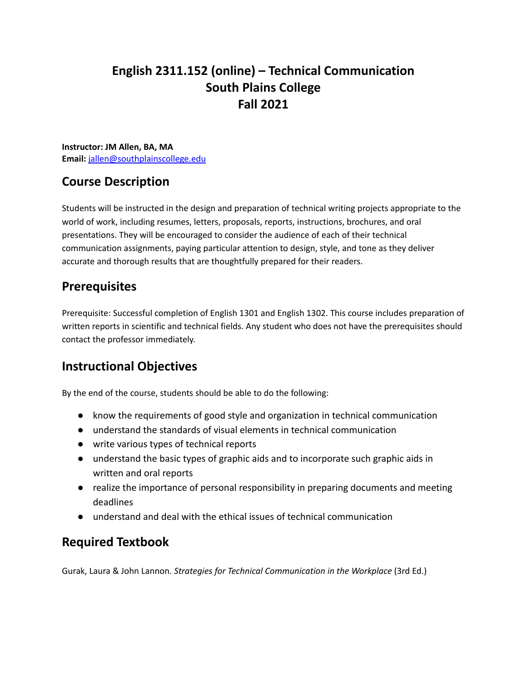# **English 2311.152 (online) – Technical Communication South Plains College Fall 2021**

**Instructor: JM Allen, BA, MA Email:** [jallen@southplainscollege.edu](mailto:jallen@southplainscollege.edu)

### **Course Description**

Students will be instructed in the design and preparation of technical writing projects appropriate to the world of work, including resumes, letters, proposals, reports, instructions, brochures, and oral presentations. They will be encouraged to consider the audience of each of their technical communication assignments, paying particular attention to design, style, and tone as they deliver accurate and thorough results that are thoughtfully prepared for their readers.

### **Prerequisites**

Prerequisite: Successful completion of English 1301 and English 1302. This course includes preparation of written reports in scientific and technical fields. Any student who does not have the prerequisites should contact the professor immediately.

## **Instructional Objectives**

By the end of the course, students should be able to do the following:

- know the requirements of good style and organization in technical communication
- understand the standards of visual elements in technical communication
- write various types of technical reports
- understand the basic types of graphic aids and to incorporate such graphic aids in written and oral reports
- realize the importance of personal responsibility in preparing documents and meeting deadlines
- understand and deal with the ethical issues of technical communication

### **Required Textbook**

Gurak, Laura & John Lannon. *Strategies for Technical Communication in the Workplace* (3rd Ed.)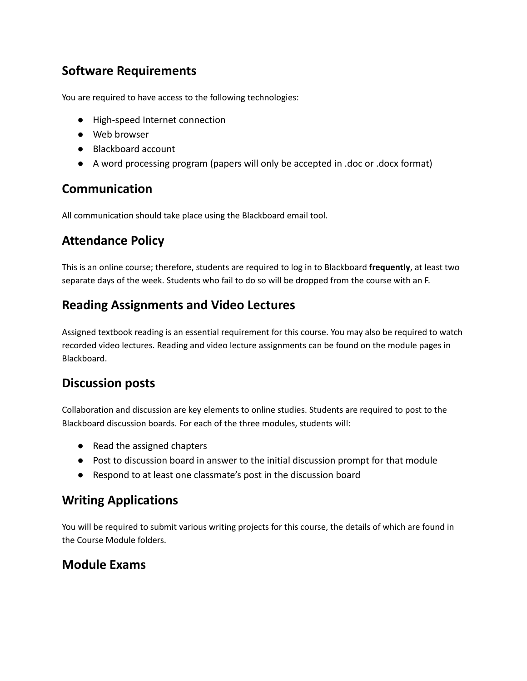### **Software Requirements**

You are required to have access to the following technologies:

- High-speed Internet connection
- Web browser
- Blackboard account
- A word processing program (papers will only be accepted in .doc or .docx format)

#### **Communication**

All communication should take place using the Blackboard email tool.

### **Attendance Policy**

This is an online course; therefore, students are required to log in to Blackboard **frequently**, at least two separate days of the week. Students who fail to do so will be dropped from the course with an F.

#### **Reading Assignments and Video Lectures**

Assigned textbook reading is an essential requirement for this course. You may also be required to watch recorded video lectures. Reading and video lecture assignments can be found on the module pages in Blackboard.

#### **Discussion posts**

Collaboration and discussion are key elements to online studies. Students are required to post to the Blackboard discussion boards. For each of the three modules, students will:

- Read the assigned chapters
- Post to discussion board in answer to the initial discussion prompt for that module
- Respond to at least one classmate's post in the discussion board

#### **Writing Applications**

You will be required to submit various writing projects for this course, the details of which are found in the Course Module folders.

#### **Module Exams**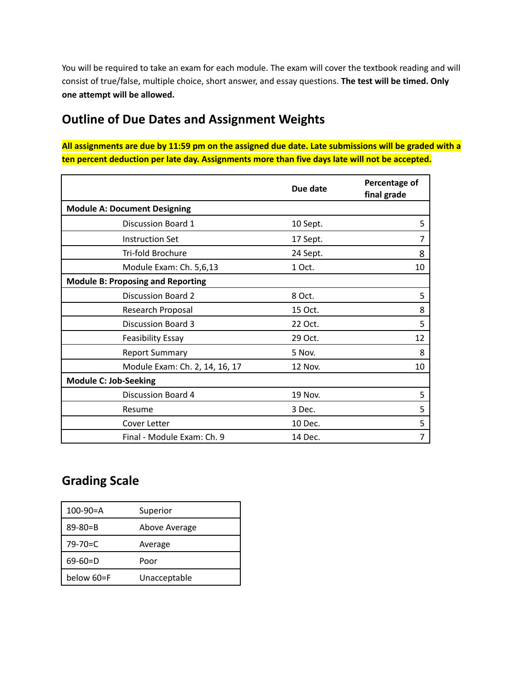You will be required to take an exam for each module. The exam will cover the textbook reading and will consist of true/false, multiple choice, short answer, and essay questions. **The test will be timed. Only one attempt will be allowed.**

### **Outline of Due Dates and Assignment Weights**

All assignments are due by 11:59 pm on the assigned due date. Late submissions will be graded with a **ten percent deduction per late day. Assignments more than five days late will not be accepted.**

|                                          | Due date       | Percentage of<br>final grade |
|------------------------------------------|----------------|------------------------------|
| <b>Module A: Document Designing</b>      |                |                              |
| Discussion Board 1                       | 10 Sept.       | 5                            |
| <b>Instruction Set</b>                   | 17 Sept.       | 7                            |
| Tri-fold Brochure                        | 24 Sept.       | 8                            |
| Module Exam: Ch. 5,6,13                  | 1 Oct.         | 10                           |
| <b>Module B: Proposing and Reporting</b> |                |                              |
| Discussion Board 2                       | 8 Oct.         | 5                            |
| Research Proposal                        | 15 Oct.        | 8                            |
| Discussion Board 3                       | 22 Oct.        | 5                            |
| Feasibility Essay                        | 29 Oct.        | 12                           |
| <b>Report Summary</b>                    | 5 Nov.         | 8                            |
| Module Exam: Ch. 2, 14, 16, 17           | <b>12 Nov.</b> | 10                           |
| <b>Module C: Job-Seeking</b>             |                |                              |
| Discussion Board 4                       | 19 Nov.        | 5                            |
| Resume                                   | 3 Dec.         | 5                            |
| Cover Letter                             | 10 Dec.        | 5                            |
| Final - Module Exam: Ch. 9               | 14 Dec.        | 7                            |

## **Grading Scale**

| $100-90=$ A   | Superior      |
|---------------|---------------|
| $89 - 80 = B$ | Above Average |
| $79 - 70 = C$ | Average       |
| $69 - 60 = D$ | Poor          |
| below 60=F    | Unacceptable  |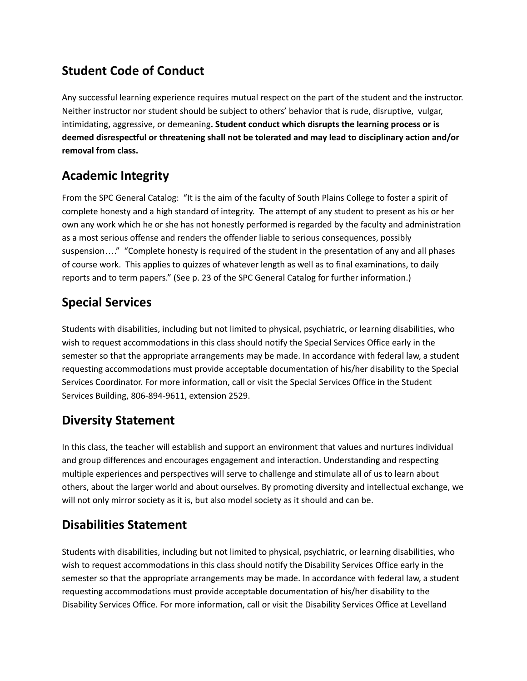## **Student Code of Conduct**

Any successful learning experience requires mutual respect on the part of the student and the instructor. Neither instructor nor student should be subject to others' behavior that is rude, disruptive, vulgar, intimidating, aggressive, or demeaning**. Student conduct which disrupts the learning process or is deemed disrespectful or threatening shall not be tolerated and may lead to disciplinary action and/or removal from class.**

# **Academic Integrity**

From the SPC General Catalog: "It is the aim of the faculty of South Plains College to foster a spirit of complete honesty and a high standard of integrity. The attempt of any student to present as his or her own any work which he or she has not honestly performed is regarded by the faculty and administration as a most serious offense and renders the offender liable to serious consequences, possibly suspension…." "Complete honesty is required of the student in the presentation of any and all phases of course work. This applies to quizzes of whatever length as well as to final examinations, to daily reports and to term papers." (See p. 23 of the SPC General Catalog for further information.)

## **Special Services**

Students with disabilities, including but not limited to physical, psychiatric, or learning disabilities, who wish to request accommodations in this class should notify the Special Services Office early in the semester so that the appropriate arrangements may be made. In accordance with federal law, a student requesting accommodations must provide acceptable documentation of his/her disability to the Special Services Coordinator. For more information, call or visit the Special Services Office in the Student Services Building, 806-894-9611, extension 2529.

## **Diversity Statement**

In this class, the teacher will establish and support an environment that values and nurtures individual and group differences and encourages engagement and interaction. Understanding and respecting multiple experiences and perspectives will serve to challenge and stimulate all of us to learn about others, about the larger world and about ourselves. By promoting diversity and intellectual exchange, we will not only mirror society as it is, but also model society as it should and can be.

### **Disabilities Statement**

Students with disabilities, including but not limited to physical, psychiatric, or learning disabilities, who wish to request accommodations in this class should notify the Disability Services Office early in the semester so that the appropriate arrangements may be made. In accordance with federal law, a student requesting accommodations must provide acceptable documentation of his/her disability to the Disability Services Office. For more information, call or visit the Disability Services Office at Levelland